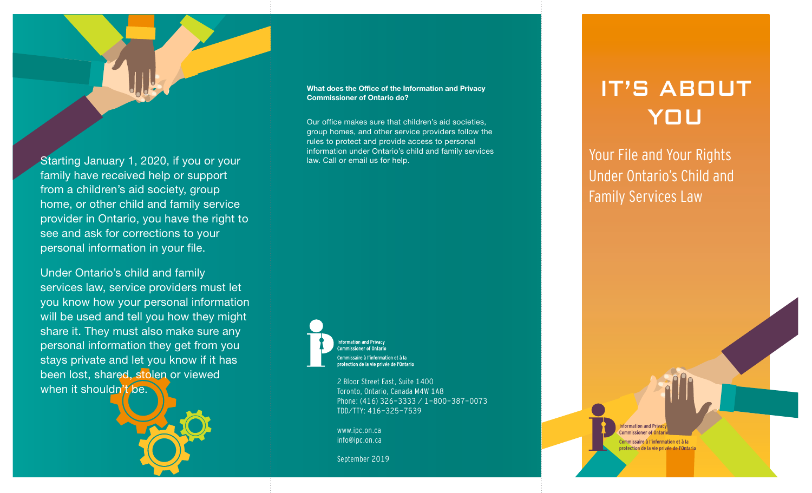Starting January 1, 2020, if you or your family have received help or support from a children's aid society, group home, or other child and family service provider in Ontario, you have the right to see and ask for corrections to your personal information in your file.

Under Ontario's child and family services law, service providers must let you know how your personal information will be used and tell you how they might share it. They must also make sure any personal information they get from you stays private and let you know if it has been lost, shared, stolen or viewed when it shouldn't be.



## What does the Office of the Information and Privacy Commissioner of Ontario do?

Our office makes sure that children's aid societies, group homes, and other service providers follow the rules to protect and provide access to personal information under Ontario's child and family services law. Call or email us for help.



protection de la vie privée de l'Ontario 2 Bloor Street East, Suite 1400

Toronto, Ontario, Canada M4W 1A8 Phone: (416) 326-3333 / 1-800-387-0073 TDD/TTY: 416-325-7539

www.ipc.on.ca info@ipc.on.ca

September 2019

# IT'S ABOUT YOU

Your File and Your Rights Under Ontario's Child and Family Services Law

> nformation and Privac **Commissioner of Ontal** Commissaire à l'information et à la protection de la vie privée de l'Ontario